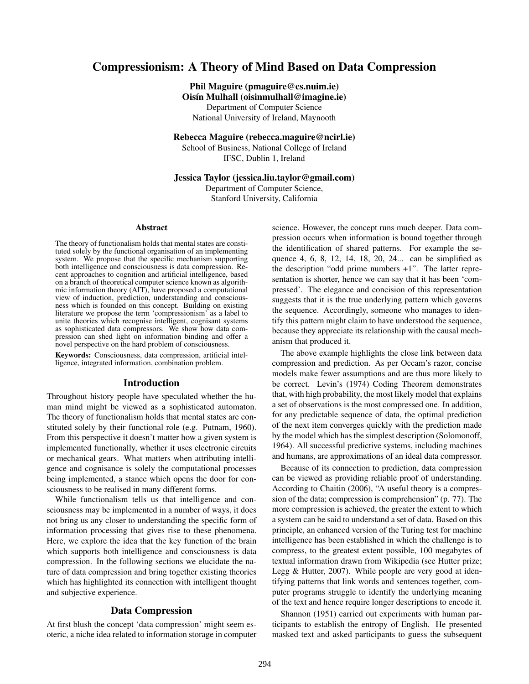# Compressionism: A Theory of Mind Based on Data Compression

Phil Maguire (pmaguire@cs.nuim.ie)

 $Oisín$  Mulhall (oisinmulhall@imagine.ie) Department of Computer Science

National University of Ireland, Maynooth

Rebecca Maguire (rebecca.maguire@ncirl.ie)

School of Business, National College of Ireland IFSC, Dublin 1, Ireland

## Jessica Taylor (jessica.liu.taylor@gmail.com)

Department of Computer Science, Stanford University, California

#### Abstract

The theory of functionalism holds that mental states are constituted solely by the functional organisation of an implementing system. We propose that the specific mechanism supporting both intelligence and consciousness is data compression. Recent approaches to cognition and artificial intelligence, based on a branch of theoretical computer science known as algorithmic information theory (AIT), have proposed a computational view of induction, prediction, understanding and consciousness which is founded on this concept. Building on existing literature we propose the term 'compressionism' as a label to unite theories which recognise intelligent, cognisant systems as sophisticated data compressors. We show how data compression can shed light on information binding and offer a novel perspective on the hard problem of consciousness.

Keywords: Consciousness, data compression, artificial intelligence, integrated information, combination problem.

#### Introduction

Throughout history people have speculated whether the human mind might be viewed as a sophisticated automaton. The theory of functionalism holds that mental states are constituted solely by their functional role (e.g. Putnam, 1960). From this perspective it doesn't matter how a given system is implemented functionally, whether it uses electronic circuits or mechanical gears. What matters when attributing intelligence and cognisance is solely the computational processes being implemented, a stance which opens the door for consciousness to be realised in many different forms.

While functionalism tells us that intelligence and consciousness may be implemented in a number of ways, it does not bring us any closer to understanding the specific form of information processing that gives rise to these phenomena. Here, we explore the idea that the key function of the brain which supports both intelligence and consciousness is data compression. In the following sections we elucidate the nature of data compression and bring together existing theories which has highlighted its connection with intelligent thought and subjective experience.

## Data Compression

At first blush the concept 'data compression' might seem esoteric, a niche idea related to information storage in computer science. However, the concept runs much deeper. Data compression occurs when information is bound together through the identification of shared patterns. For example the sequence 4, 6, 8, 12, 14, 18, 20, 24... can be simplified as the description "odd prime numbers +1". The latter representation is shorter, hence we can say that it has been 'compressed'. The elegance and concision of this representation suggests that it is the true underlying pattern which governs the sequence. Accordingly, someone who manages to identify this pattern might claim to have understood the sequence, because they appreciate its relationship with the causal mechanism that produced it.

The above example highlights the close link between data compression and prediction. As per Occam's razor, concise models make fewer assumptions and are thus more likely to be correct. Levin's (1974) Coding Theorem demonstrates that, with high probability, the most likely model that explains a set of observations is the most compressed one. In addition, for any predictable sequence of data, the optimal prediction of the next item converges quickly with the prediction made by the model which has the simplest description (Solomonoff, 1964). All successful predictive systems, including machines and humans, are approximations of an ideal data compressor.

Because of its connection to prediction, data compression can be viewed as providing reliable proof of understanding. According to Chaitin (2006), "A useful theory is a compression of the data; compression is comprehension" (p. 77). The more compression is achieved, the greater the extent to which a system can be said to understand a set of data. Based on this principle, an enhanced version of the Turing test for machine intelligence has been established in which the challenge is to compress, to the greatest extent possible, 100 megabytes of textual information drawn from Wikipedia (see Hutter prize; Legg & Hutter, 2007). While people are very good at identifying patterns that link words and sentences together, computer programs struggle to identify the underlying meaning of the text and hence require longer descriptions to encode it.

Shannon (1951) carried out experiments with human participants to establish the entropy of English. He presented masked text and asked participants to guess the subsequent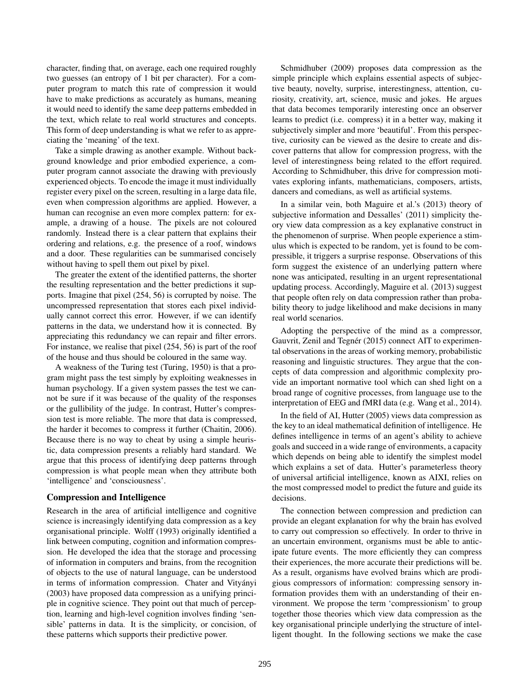character, finding that, on average, each one required roughly two guesses (an entropy of 1 bit per character). For a computer program to match this rate of compression it would have to make predictions as accurately as humans, meaning it would need to identify the same deep patterns embedded in the text, which relate to real world structures and concepts. This form of deep understanding is what we refer to as appreciating the 'meaning' of the text.

Take a simple drawing as another example. Without background knowledge and prior embodied experience, a computer program cannot associate the drawing with previously experienced objects. To encode the image it must individually register every pixel on the screen, resulting in a large data file, even when compression algorithms are applied. However, a human can recognise an even more complex pattern: for example, a drawing of a house. The pixels are not coloured randomly. Instead there is a clear pattern that explains their ordering and relations, e.g. the presence of a roof, windows and a door. These regularities can be summarised concisely without having to spell them out pixel by pixel.

The greater the extent of the identified patterns, the shorter the resulting representation and the better predictions it supports. Imagine that pixel (254, 56) is corrupted by noise. The uncompressed representation that stores each pixel individually cannot correct this error. However, if we can identify patterns in the data, we understand how it is connected. By appreciating this redundancy we can repair and filter errors. For instance, we realise that pixel (254, 56) is part of the roof of the house and thus should be coloured in the same way.

A weakness of the Turing test (Turing, 1950) is that a program might pass the test simply by exploiting weaknesses in human psychology. If a given system passes the test we cannot be sure if it was because of the quality of the responses or the gullibility of the judge. In contrast, Hutter's compression test is more reliable. The more that data is compressed, the harder it becomes to compress it further (Chaitin, 2006). Because there is no way to cheat by using a simple heuristic, data compression presents a reliably hard standard. We argue that this process of identifying deep patterns through compression is what people mean when they attribute both 'intelligence' and 'consciousness'.

### Compression and Intelligence

Research in the area of artificial intelligence and cognitive science is increasingly identifying data compression as a key organisational principle. Wolff (1993) originally identified a link between computing, cognition and information compression. He developed the idea that the storage and processing of information in computers and brains, from the recognition of objects to the use of natural language, can be understood in terms of information compression. Chater and Vityányi (2003) have proposed data compression as a unifying principle in cognitive science. They point out that much of perception, learning and high-level cognition involves finding 'sensible' patterns in data. It is the simplicity, or concision, of these patterns which supports their predictive power.

Schmidhuber (2009) proposes data compression as the simple principle which explains essential aspects of subjective beauty, novelty, surprise, interestingness, attention, curiosity, creativity, art, science, music and jokes. He argues that data becomes temporarily interesting once an observer learns to predict (i.e. compress) it in a better way, making it subjectively simpler and more 'beautiful'. From this perspective, curiosity can be viewed as the desire to create and discover patterns that allow for compression progress, with the level of interestingness being related to the effort required. According to Schmidhuber, this drive for compression motivates exploring infants, mathematicians, composers, artists, dancers and comedians, as well as artificial systems.

In a similar vein, both Maguire et al.'s (2013) theory of subjective information and Dessalles' (2011) simplicity theory view data compression as a key explanative construct in the phenomenon of surprise. When people experience a stimulus which is expected to be random, yet is found to be compressible, it triggers a surprise response. Observations of this form suggest the existence of an underlying pattern where none was anticipated, resulting in an urgent representational updating process. Accordingly, Maguire et al. (2013) suggest that people often rely on data compression rather than probability theory to judge likelihood and make decisions in many real world scenarios.

Adopting the perspective of the mind as a compressor, Gauvrit, Zenil and Tegnér (2015) connect AIT to experimental observations in the areas of working memory, probabilistic reasoning and linguistic structures. They argue that the concepts of data compression and algorithmic complexity provide an important normative tool which can shed light on a broad range of cognitive processes, from language use to the interpretation of EEG and fMRI data (e.g. Wang et al., 2014).

In the field of AI, Hutter (2005) views data compression as the key to an ideal mathematical definition of intelligence. He defines intelligence in terms of an agent's ability to achieve goals and succeed in a wide range of environments, a capacity which depends on being able to identify the simplest model which explains a set of data. Hutter's parameterless theory of universal artificial intelligence, known as AIXI, relies on the most compressed model to predict the future and guide its decisions.

The connection between compression and prediction can provide an elegant explanation for why the brain has evolved to carry out compression so effectively. In order to thrive in an uncertain environment, organisms must be able to anticipate future events. The more efficiently they can compress their experiences, the more accurate their predictions will be. As a result, organisms have evolved brains which are prodigious compressors of information: compressing sensory information provides them with an understanding of their environment. We propose the term 'compressionism' to group together those theories which view data compression as the key organisational principle underlying the structure of intelligent thought. In the following sections we make the case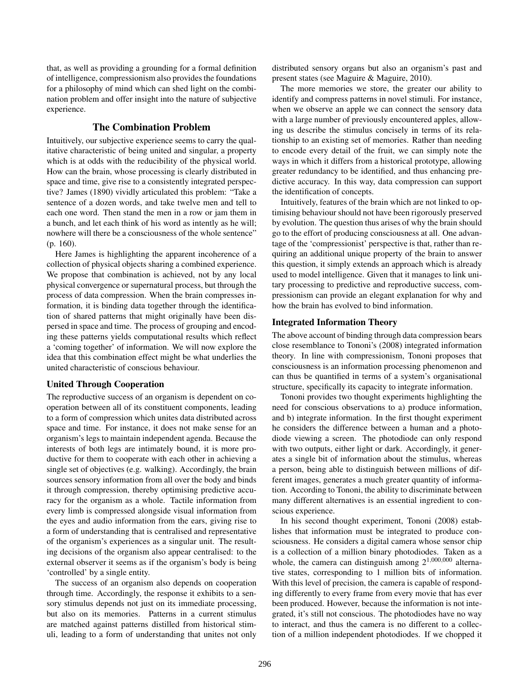that, as well as providing a grounding for a formal definition of intelligence, compressionism also provides the foundations for a philosophy of mind which can shed light on the combination problem and offer insight into the nature of subjective experience.

# The Combination Problem

Intuitively, our subjective experience seems to carry the qualitative characteristic of being united and singular, a property which is at odds with the reducibility of the physical world. How can the brain, whose processing is clearly distributed in space and time, give rise to a consistently integrated perspective? James (1890) vividly articulated this problem: "Take a sentence of a dozen words, and take twelve men and tell to each one word. Then stand the men in a row or jam them in a bunch, and let each think of his word as intently as he will; nowhere will there be a consciousness of the whole sentence" (p. 160).

Here James is highlighting the apparent incoherence of a collection of physical objects sharing a combined experience. We propose that combination is achieved, not by any local physical convergence or supernatural process, but through the process of data compression. When the brain compresses information, it is binding data together through the identification of shared patterns that might originally have been dispersed in space and time. The process of grouping and encoding these patterns yields computational results which reflect a 'coming together' of information. We will now explore the idea that this combination effect might be what underlies the united characteristic of conscious behaviour.

#### United Through Cooperation

The reproductive success of an organism is dependent on cooperation between all of its constituent components, leading to a form of compression which unites data distributed across space and time. For instance, it does not make sense for an organism's legs to maintain independent agenda. Because the interests of both legs are intimately bound, it is more productive for them to cooperate with each other in achieving a single set of objectives (e.g. walking). Accordingly, the brain sources sensory information from all over the body and binds it through compression, thereby optimising predictive accuracy for the organism as a whole. Tactile information from every limb is compressed alongside visual information from the eyes and audio information from the ears, giving rise to a form of understanding that is centralised and representative of the organism's experiences as a singular unit. The resulting decisions of the organism also appear centralised: to the external observer it seems as if the organism's body is being 'controlled' by a single entity.

The success of an organism also depends on cooperation through time. Accordingly, the response it exhibits to a sensory stimulus depends not just on its immediate processing, but also on its memories. Patterns in a current stimulus are matched against patterns distilled from historical stimuli, leading to a form of understanding that unites not only distributed sensory organs but also an organism's past and present states (see Maguire & Maguire, 2010).

The more memories we store, the greater our ability to identify and compress patterns in novel stimuli. For instance, when we observe an apple we can connect the sensory data with a large number of previously encountered apples, allowing us describe the stimulus concisely in terms of its relationship to an existing set of memories. Rather than needing to encode every detail of the fruit, we can simply note the ways in which it differs from a historical prototype, allowing greater redundancy to be identified, and thus enhancing predictive accuracy. In this way, data compression can support the identification of concepts.

Intuitively, features of the brain which are not linked to optimising behaviour should not have been rigorously preserved by evolution. The question thus arises of why the brain should go to the effort of producing consciousness at all. One advantage of the 'compressionist' perspective is that, rather than requiring an additional unique property of the brain to answer this question, it simply extends an approach which is already used to model intelligence. Given that it manages to link unitary processing to predictive and reproductive success, compressionism can provide an elegant explanation for why and how the brain has evolved to bind information.

# Integrated Information Theory

The above account of binding through data compression bears close resemblance to Tononi's (2008) integrated information theory. In line with compressionism, Tononi proposes that consciousness is an information processing phenomenon and can thus be quantified in terms of a system's organisational structure, specifically its capacity to integrate information.

Tononi provides two thought experiments highlighting the need for conscious observations to a) produce information, and b) integrate information. In the first thought experiment he considers the difference between a human and a photodiode viewing a screen. The photodiode can only respond with two outputs, either light or dark. Accordingly, it generates a single bit of information about the stimulus, whereas a person, being able to distinguish between millions of different images, generates a much greater quantity of information. According to Tononi, the ability to discriminate between many different alternatives is an essential ingredient to conscious experience.

In his second thought experiment, Tononi (2008) establishes that information must be integrated to produce consciousness. He considers a digital camera whose sensor chip is a collection of a million binary photodiodes. Taken as a whole, the camera can distinguish among  $2^{1,000,000}$  alternative states, corresponding to 1 million bits of information. With this level of precision, the camera is capable of responding differently to every frame from every movie that has ever been produced. However, because the information is not integrated, it's still not conscious. The photodiodes have no way to interact, and thus the camera is no different to a collection of a million independent photodiodes. If we chopped it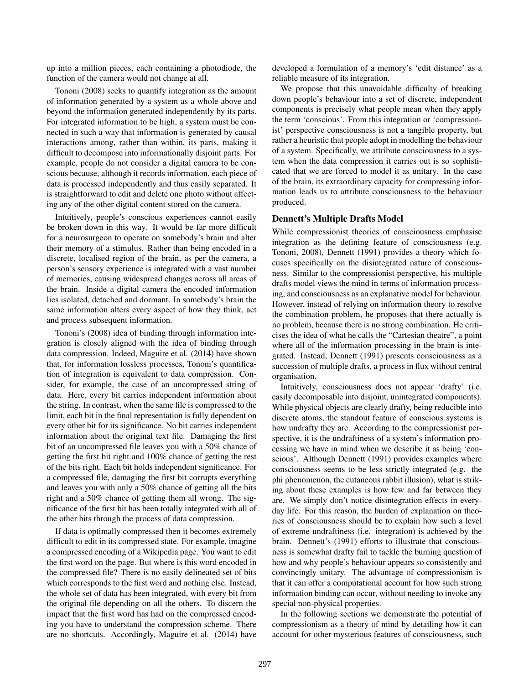up into a million pieces, each containing a photodiode, the function of the camera would not change at all.

Tononi (2008) seeks to quantify integration as the amount of information generated by a system as a whole above and beyond the information generated independently by its parts. For integrated information to be high, a system must be connected in such a way that information is generated by causal interactions among, rather than within, its parts, making it difficult to decompose into informationally disjoint parts. For example, people do not consider a digital camera to be conscious because, although it records information, each piece of data is processed independently and thus easily separated. It is straightforward to edit and delete one photo without affecting any of the other digital content stored on the camera.

Intuitively, people's conscious experiences cannot easily be broken down in this way. It would be far more difficult for a neurosurgeon to operate on somebody's brain and alter their memory of a stimulus. Rather than being encoded in a discrete, localised region of the brain, as per the camera, a person's sensory experience is integrated with a vast number of memories, causing widespread changes across all areas of the brain. Inside a digital camera the encoded information lies isolated, detached and dormant. In somebody's brain the same information alters every aspect of how they think, act and process subsequent information.

Tononi's (2008) idea of binding through information integration is closely aligned with the idea of binding through data compression. Indeed, Maguire et al. (2014) have shown that, for information lossless processes, Tononi's quantification of integration is equivalent to data compression. Consider, for example, the case of an uncompressed string of data. Here, every bit carries independent information about the string. In contrast, when the same file is compressed to the limit, each bit in the final representation is fully dependent on every other bit for its significance. No bit carries independent information about the original text file. Damaging the first bit of an uncompressed file leaves you with a 50% chance of getting the first bit right and 100% chance of getting the rest of the bits right. Each bit holds independent significance. For a compressed file, damaging the first bit corrupts everything and leaves you with only a 50% chance of getting all the bits right and a 50% chance of getting them all wrong. The significance of the first bit has been totally integrated with all of the other bits through the process of data compression.

If data is optimally compressed then it becomes extremely difficult to edit in its compressed state. For example, imagine a compressed encoding of a Wikipedia page. You want to edit the first word on the page. But where is this word encoded in the compressed file? There is no easily delineated set of bits which corresponds to the first word and nothing else. Instead, the whole set of data has been integrated, with every bit from the original file depending on all the others. To discern the impact that the first word has had on the compressed encoding you have to understand the compression scheme. There are no shortcuts. Accordingly, Maguire et al. (2014) have developed a formulation of a memory's 'edit distance' as a reliable measure of its integration.

We propose that this unavoidable difficulty of breaking down people's behaviour into a set of discrete, independent components is precisely what people mean when they apply the term 'conscious'. From this integration or 'compressionist' perspective consciousness is not a tangible property, but rather a heuristic that people adopt in modelling the behaviour of a system. Specifically, we attribute consciousness to a system when the data compression it carries out is so sophisticated that we are forced to model it as unitary. In the case of the brain, its extraordinary capacity for compressing information leads us to attribute consciousness to the behaviour produced.

# Dennett's Multiple Drafts Model

While compressionist theories of consciousness emphasise integration as the defining feature of consciousness (e.g. Tononi, 2008), Dennett (1991) provides a theory which focuses specifically on the disintegrated nature of consciousness. Similar to the compressionist perspective, his multiple drafts model views the mind in terms of information processing, and consciousness as an explanative model for behaviour. However, instead of relying on information theory to resolve the combination problem, he proposes that there actually is no problem, because there is no strong combination. He criticises the idea of what he calls the "Cartesian theatre", a point where all of the information processing in the brain is integrated. Instead, Dennett (1991) presents consciousness as a succession of multiple drafts, a process in flux without central organisation.

Intuitively, consciousness does not appear 'drafty' (i.e. easily decomposable into disjoint, unintegrated components). While physical objects are clearly drafty, being reducible into discrete atoms, the standout feature of conscious systems is how undrafty they are. According to the compressionist perspective, it is the undraftiness of a system's information processing we have in mind when we describe it as being 'conscious'. Although Dennett (1991) provides examples where consciousness seems to be less strictly integrated (e.g. the phi phenomenon, the cutaneous rabbit illusion), what is striking about these examples is how few and far between they are. We simply don't notice disintegration effects in everyday life. For this reason, the burden of explanation on theories of consciousness should be to explain how such a level of extreme undraftiness (i.e. integration) is achieved by the brain. Dennett's (1991) efforts to illustrate that consciousness is somewhat drafty fail to tackle the burning question of how and why people's behaviour appears so consistently and convincingly unitary. The advantage of compressionism is that it can offer a computational account for how such strong information binding can occur, without needing to invoke any special non-physical properties.

In the following sections we demonstrate the potential of compressionism as a theory of mind by detailing how it can account for other mysterious features of consciousness, such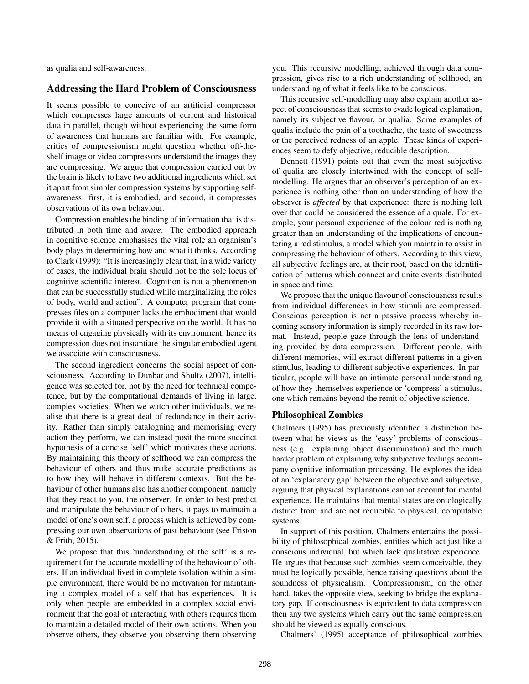as qualia and self-awareness.

# Addressing the Hard Problem of Consciousness

It seems possible to conceive of an artificial compressor which compresses large amounts of current and historical data in parallel, though without experiencing the same form of awareness that humans are familiar with. For example, critics of compressionism might question whether off-theshelf image or video compressors understand the images they are compressing. We argue that compression carried out by the brain is likely to have two additional ingredients which set it apart from simpler compression systems by supporting selfawareness: first, it is embodied, and second, it compresses observations of its own behaviour.

Compression enables the binding of information that is distributed in both time and *space*. The embodied approach in cognitive science emphasises the vital role an organism's body plays in determining how and what it thinks. According to Clark (1999): "It is increasingly clear that, in a wide variety of cases, the individual brain should not be the sole locus of cognitive scientific interest. Cognition is not a phenomenon that can be successfully studied while marginalizing the roles of body, world and action". A computer program that compresses files on a computer lacks the embodiment that would provide it with a situated perspective on the world. It has no means of engaging physically with its environment, hence its compression does not instantiate the singular embodied agent we associate with consciousness.

The second ingredient concerns the social aspect of consciousness. According to Dunbar and Shultz (2007), intelligence was selected for, not by the need for technical competence, but by the computational demands of living in large, complex societies. When we watch other individuals, we realise that there is a great deal of redundancy in their activity. Rather than simply cataloguing and memorising every action they perform, we can instead posit the more succinct hypothesis of a concise 'self' which motivates these actions. By maintaining this theory of selfhood we can compress the behaviour of others and thus make accurate predictions as to how they will behave in different contexts. But the behaviour of other humans also has another component, namely that they react to you, the observer. In order to best predict and manipulate the behaviour of others, it pays to maintain a model of one's own self, a process which is achieved by compressing our own observations of past behaviour (see Friston & Frith, 2015).

We propose that this 'understanding of the self' is a requirement for the accurate modelling of the behaviour of others. If an individual lived in complete isolation within a simple environment, there would be no motivation for maintaining a complex model of a self that has experiences. It is only when people are embedded in a complex social environment that the goal of interacting with others requires them to maintain a detailed model of their own actions. When you observe others, they observe you observing them observing you. This recursive modelling, achieved through data compression, gives rise to a rich understanding of selfhood, an understanding of what it feels like to be conscious.

This recursive self-modelling may also explain another aspect of consciousness that seems to evade logical explanation, namely its subjective flavour, or qualia. Some examples of qualia include the pain of a toothache, the taste of sweetness or the perceived redness of an apple. These kinds of experiences seem to defy objective, reducible description.

Dennett (1991) points out that even the most subjective of qualia are closely intertwined with the concept of selfmodelling. He argues that an observer's perception of an experience is nothing other than an understanding of how the observer is *affected* by that experience: there is nothing left over that could be considered the essence of a quale. For example, your personal experience of the colour red is nothing greater than an understanding of the implications of encountering a red stimulus, a model which you maintain to assist in compressing the behaviour of others. According to this view, all subjective feelings are, at their root, based on the identification of patterns which connect and unite events distributed in space and time.

We propose that the unique flavour of consciousness results from individual differences in how stimuli are compressed. Conscious perception is not a passive process whereby incoming sensory information is simply recorded in its raw format. Instead, people gaze through the lens of understanding provided by data compression. Different people, with different memories, will extract different patterns in a given stimulus, leading to different subjective experiences. In particular, people will have an intimate personal understanding of how they themselves experience or 'compress' a stimulus, one which remains beyond the remit of objective science.

### Philosophical Zombies

Chalmers (1995) has previously identified a distinction between what he views as the 'easy' problems of consciousness (e.g. explaining object discrimination) and the much harder problem of explaining why subjective feelings accompany cognitive information processing. He explores the idea of an 'explanatory gap' between the objective and subjective, arguing that physical explanations cannot account for mental experience. He maintains that mental states are ontologically distinct from and are not reducible to physical, computable systems.

In support of this position, Chalmers entertains the possibility of philosophical zombies, entities which act just like a conscious individual, but which lack qualitative experience. He argues that because such zombies seem conceivable, they must be logically possible, hence raising questions about the soundness of physicalism. Compressionism, on the other hand, takes the opposite view, seeking to bridge the explanatory gap. If consciousness is equivalent to data compression then any two systems which carry out the same compression should be viewed as equally conscious.

Chalmers' (1995) acceptance of philosophical zombies